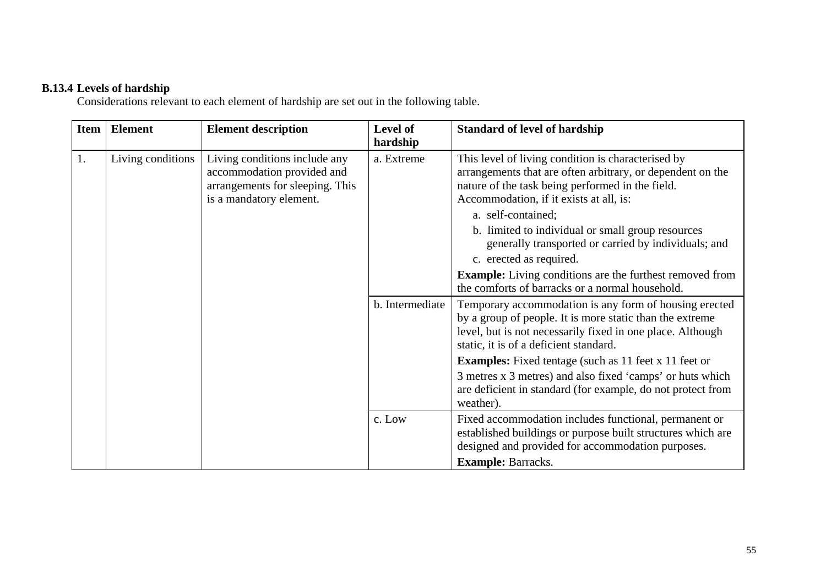## **B.13.4 Levels of hardship**

Considerations relevant to each element of hardship are set out in the following table.

| <b>Item</b> | <b>Element</b>    | <b>Element description</b>                                                                                                | Level of<br>hardship | <b>Standard of level of hardship</b>                                                                                                                                                                                       |
|-------------|-------------------|---------------------------------------------------------------------------------------------------------------------------|----------------------|----------------------------------------------------------------------------------------------------------------------------------------------------------------------------------------------------------------------------|
| 1.          | Living conditions | Living conditions include any<br>accommodation provided and<br>arrangements for sleeping. This<br>is a mandatory element. | a. Extreme           | This level of living condition is characterised by<br>arrangements that are often arbitrary, or dependent on the<br>nature of the task being performed in the field.<br>Accommodation, if it exists at all, is:            |
|             |                   |                                                                                                                           |                      | a. self-contained;<br>b. limited to individual or small group resources<br>generally transported or carried by individuals; and<br>c. erected as required.                                                                 |
|             |                   |                                                                                                                           |                      | <b>Example:</b> Living conditions are the furthest removed from<br>the comforts of barracks or a normal household.                                                                                                         |
|             |                   |                                                                                                                           | b. Intermediate      | Temporary accommodation is any form of housing erected<br>by a group of people. It is more static than the extreme<br>level, but is not necessarily fixed in one place. Although<br>static, it is of a deficient standard. |
|             |                   |                                                                                                                           |                      | <b>Examples:</b> Fixed tentage (such as 11 feet x 11 feet or                                                                                                                                                               |
|             |                   |                                                                                                                           |                      | 3 metres x 3 metres) and also fixed 'camps' or huts which<br>are deficient in standard (for example, do not protect from<br>weather).                                                                                      |
|             |                   |                                                                                                                           | c. Low               | Fixed accommodation includes functional, permanent or<br>established buildings or purpose built structures which are<br>designed and provided for accommodation purposes.                                                  |
|             |                   |                                                                                                                           |                      | <b>Example: Barracks.</b>                                                                                                                                                                                                  |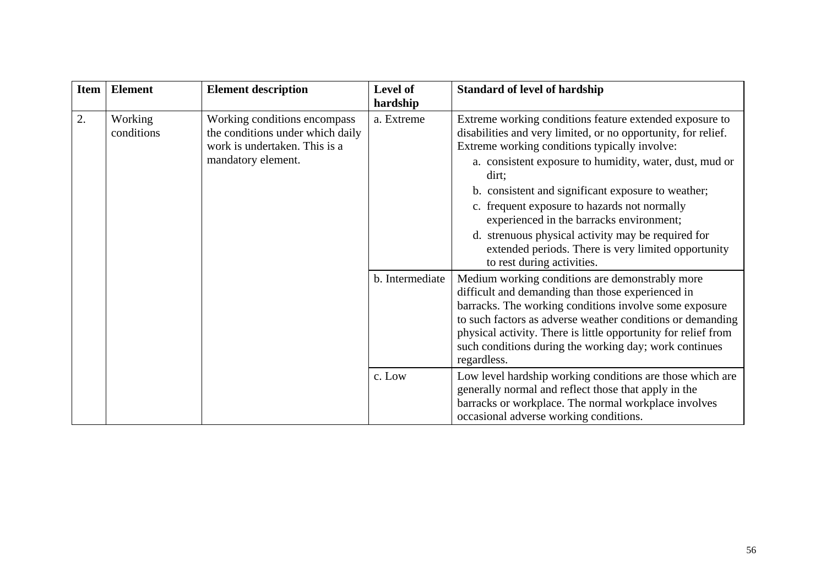| <b>Item</b> | <b>Element</b>        | <b>Element description</b>                                                                                              | Level of<br>hardship | <b>Standard of level of hardship</b>                                                                                                                                                                                                                                                                                                                                                                                                                                                                                                       |
|-------------|-----------------------|-------------------------------------------------------------------------------------------------------------------------|----------------------|--------------------------------------------------------------------------------------------------------------------------------------------------------------------------------------------------------------------------------------------------------------------------------------------------------------------------------------------------------------------------------------------------------------------------------------------------------------------------------------------------------------------------------------------|
| 2.          | Working<br>conditions | Working conditions encompass<br>the conditions under which daily<br>work is undertaken. This is a<br>mandatory element. | a. Extreme           | Extreme working conditions feature extended exposure to<br>disabilities and very limited, or no opportunity, for relief.<br>Extreme working conditions typically involve:<br>a. consistent exposure to humidity, water, dust, mud or<br>dirt;<br>b. consistent and significant exposure to weather;<br>c. frequent exposure to hazards not normally<br>experienced in the barracks environment;<br>d. strenuous physical activity may be required for<br>extended periods. There is very limited opportunity<br>to rest during activities. |
|             |                       |                                                                                                                         | b. Intermediate      | Medium working conditions are demonstrably more<br>difficult and demanding than those experienced in<br>barracks. The working conditions involve some exposure<br>to such factors as adverse weather conditions or demanding<br>physical activity. There is little opportunity for relief from<br>such conditions during the working day; work continues<br>regardless.                                                                                                                                                                    |
|             |                       |                                                                                                                         | c. Low               | Low level hardship working conditions are those which are<br>generally normal and reflect those that apply in the<br>barracks or workplace. The normal workplace involves<br>occasional adverse working conditions.                                                                                                                                                                                                                                                                                                                        |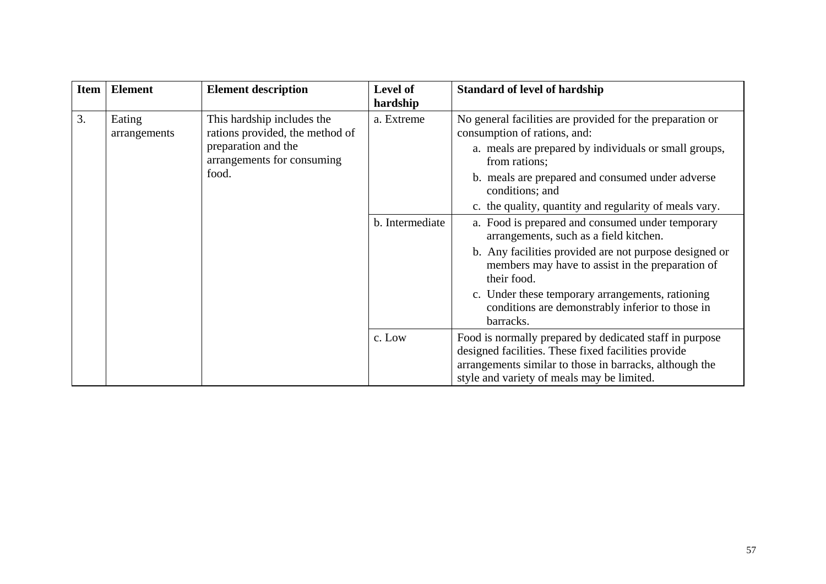| <b>Item</b> | <b>Element</b>                                                                                                                                        | <b>Element description</b> | Level of<br>hardship                                                                                                                                                                                                                       | <b>Standard of level of hardship</b>                                                                                                                                                                                                                                                                                                                                                                   |
|-------------|-------------------------------------------------------------------------------------------------------------------------------------------------------|----------------------------|--------------------------------------------------------------------------------------------------------------------------------------------------------------------------------------------------------------------------------------------|--------------------------------------------------------------------------------------------------------------------------------------------------------------------------------------------------------------------------------------------------------------------------------------------------------------------------------------------------------------------------------------------------------|
| 3.          | This hardship includes the<br>Eating<br>rations provided, the method of<br>arrangements<br>preparation and the<br>arrangements for consuming<br>food. | a. Extreme                 | No general facilities are provided for the preparation or<br>consumption of rations, and:<br>a. meals are prepared by individuals or small groups,<br>from rations;<br>b. meals are prepared and consumed under adverse<br>conditions; and |                                                                                                                                                                                                                                                                                                                                                                                                        |
|             |                                                                                                                                                       |                            | b. Intermediate                                                                                                                                                                                                                            | c. the quality, quantity and regularity of meals vary.<br>a. Food is prepared and consumed under temporary<br>arrangements, such as a field kitchen.<br>b. Any facilities provided are not purpose designed or<br>members may have to assist in the preparation of<br>their food.<br>c. Under these temporary arrangements, rationing<br>conditions are demonstrably inferior to those in<br>barracks. |
|             |                                                                                                                                                       | c. Low                     | Food is normally prepared by dedicated staff in purpose<br>designed facilities. These fixed facilities provide<br>arrangements similar to those in barracks, although the<br>style and variety of meals may be limited.                    |                                                                                                                                                                                                                                                                                                                                                                                                        |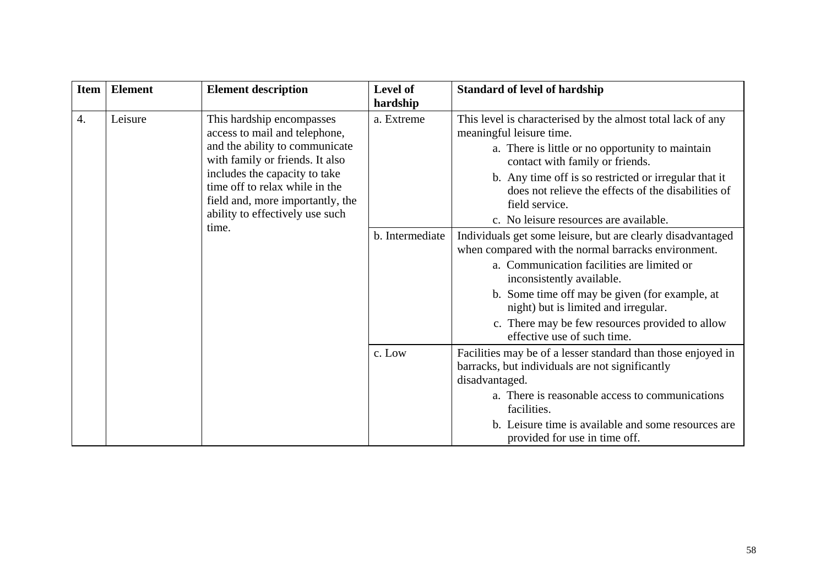| <b>Item</b> | <b>Element</b> | <b>Element description</b>                                                                                                                                                                                                                                                         | Level of                                                                                                                                                                                                                                                                                                                                                                  | <b>Standard of level of hardship</b>                                                                                                                                                                                                                                                                                                                       |
|-------------|----------------|------------------------------------------------------------------------------------------------------------------------------------------------------------------------------------------------------------------------------------------------------------------------------------|---------------------------------------------------------------------------------------------------------------------------------------------------------------------------------------------------------------------------------------------------------------------------------------------------------------------------------------------------------------------------|------------------------------------------------------------------------------------------------------------------------------------------------------------------------------------------------------------------------------------------------------------------------------------------------------------------------------------------------------------|
| 4.          | Leisure        | This hardship encompasses<br>access to mail and telephone,<br>and the ability to communicate<br>with family or friends. It also<br>includes the capacity to take<br>time off to relax while in the<br>field and, more importantly, the<br>ability to effectively use such<br>time. | hardship<br>a. Extreme                                                                                                                                                                                                                                                                                                                                                    | This level is characterised by the almost total lack of any<br>meaningful leisure time.<br>a. There is little or no opportunity to maintain<br>contact with family or friends.<br>b. Any time off is so restricted or irregular that it<br>does not relieve the effects of the disabilities of<br>field service.<br>c. No leisure resources are available. |
|             |                | b. Intermediate                                                                                                                                                                                                                                                                    | Individuals get some leisure, but are clearly disadvantaged<br>when compared with the normal barracks environment.<br>a. Communication facilities are limited or<br>inconsistently available.<br>b. Some time off may be given (for example, at<br>night) but is limited and irregular.<br>c. There may be few resources provided to allow<br>effective use of such time. |                                                                                                                                                                                                                                                                                                                                                            |
|             |                | c. Low                                                                                                                                                                                                                                                                             | Facilities may be of a lesser standard than those enjoyed in<br>barracks, but individuals are not significantly<br>disadvantaged.<br>a. There is reasonable access to communications<br>facilities.<br>b. Leisure time is available and some resources are<br>provided for use in time off.                                                                               |                                                                                                                                                                                                                                                                                                                                                            |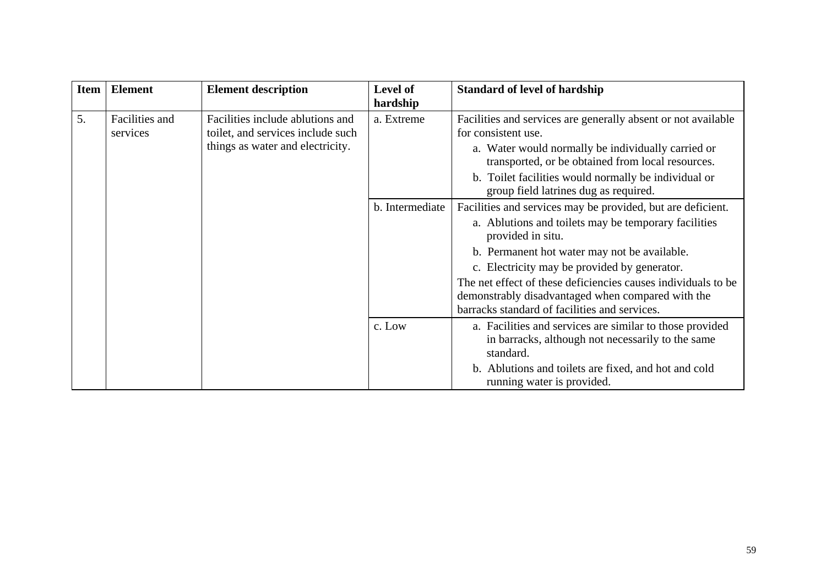| <b>Item</b> | <b>Element</b>                                                                                                                          | <b>Element description</b> | Level of<br>hardship                                                                                                                                                                                                                                                                                                                                                                                            | <b>Standard of level of hardship</b>                                                                                                                                                                             |
|-------------|-----------------------------------------------------------------------------------------------------------------------------------------|----------------------------|-----------------------------------------------------------------------------------------------------------------------------------------------------------------------------------------------------------------------------------------------------------------------------------------------------------------------------------------------------------------------------------------------------------------|------------------------------------------------------------------------------------------------------------------------------------------------------------------------------------------------------------------|
| 5.          | Facilities and<br>Facilities include ablutions and<br>toilet, and services include such<br>services<br>things as water and electricity. | a. Extreme                 | Facilities and services are generally absent or not available<br>for consistent use.<br>a. Water would normally be individually carried or<br>transported, or be obtained from local resources.<br>b. Toilet facilities would normally be individual or<br>group field latrines dug as required.                                                                                                                |                                                                                                                                                                                                                  |
|             |                                                                                                                                         | b. Intermediate            | Facilities and services may be provided, but are deficient.<br>a. Ablutions and toilets may be temporary facilities<br>provided in situ.<br>b. Permanent hot water may not be available.<br>c. Electricity may be provided by generator.<br>The net effect of these deficiencies causes individuals to be<br>demonstrably disadvantaged when compared with the<br>barracks standard of facilities and services. |                                                                                                                                                                                                                  |
|             |                                                                                                                                         |                            | c. Low                                                                                                                                                                                                                                                                                                                                                                                                          | a. Facilities and services are similar to those provided<br>in barracks, although not necessarily to the same<br>standard.<br>b. Ablutions and toilets are fixed, and hot and cold<br>running water is provided. |